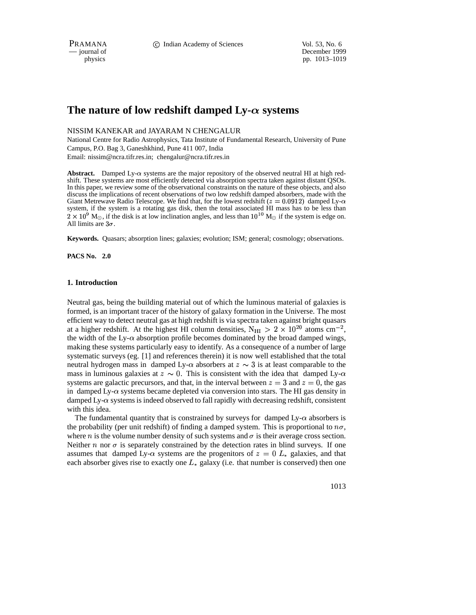PRAMANA **C** Indian Academy of Sciences Vol. 53, No. 6

— journal of December 1999 physics pp. 1013–1019

# The nature of low redshift damped  $Ly-\alpha$  systems

# NISSIM KANEKAR and JAYARAM N CHENGALUR

National Centre for Radio Astrophysics, Tata Institute of Fundamental Research, University of Pune Campus, P.O. Bag 3, Ganeshkhind, Pune 411 007, India Email: nissim@ncra.tifr.res.in; chengalur@ncra.tifr.res.in

Abstract. Damped Ly- $\alpha$  systems are the major repository of the observed neutral HI at high redshift. These systems are most efficiently detected via absorption spectra taken against distant QSOs. In this paper, we review some of the observational constraints on the nature of these objects, and also discuss the implications of recent observations of two low redshift damped absorbers, made with the Giant Metrewave Radio Telescope. We find that, for the lowest redshift  $(z = 0.0912)$  damped Lysystem, if the system is a rotating gas disk, then the total associated HI mass has to be less than  $2 \times 10^9$  M<sub> $\odot$ </sub>, if the disk is at low inclination angles, and less than  $10^{10}$  M<sub> $\odot$ </sub> if the system is edge on. All limits are  $3\sigma$ .

**Keywords.** Quasars; absorption lines; galaxies; evolution; ISM; general; cosmology; observations.

**PACS No. 2.0**

#### **1. Introduction**

Neutral gas, being the building material out of which the luminous material of galaxies is formed, is an important tracer of the history of galaxy formation in the Universe. The most efficient way to detect neutral gas at high redshift is via spectra taken against bright quasars at a higher redshift. At the highest HI column densities,  $N_{\text{HI}} > 2 \times 10^{20}$  atoms cm<sup>-2</sup>, the width of the Ly- $\alpha$  absorption profile becomes dominated by the broad damped wings, making these systems particularly easy to identify. As a consequence of a number of large systematic surveys (eg. [1] and references therein) it is now well established that the total neutral hydrogen mass in damped Ly- $\alpha$  absorbers at  $z \sim 3$  is at least comparable to the mass in luminous galaxies at  $z \sim 0$ . This is consistent with the idea that damped Ly- $\alpha$ systems are galactic precursors, and that, in the interval between  $z = 3$  and  $z = 0$ , the gas in damped Ly- $\alpha$  systems became depleted via conversion into stars. The HI gas density in damped Ly- $\alpha$  systems is indeed observed to fall rapidly with decreasing redshift, consistent with this idea.

The fundamental quantity that is constrained by surveys for damped  $Ly-\alpha$  absorbers is the probability (per unit redshift) of finding a damped system. This is proportional to  $n\sigma$ , where *n* is the volume number density of such systems and  $\sigma$  is their average cross section. Neither  $n$  nor  $\sigma$  is separately constrained by the detection rates in blind surveys. If one assumes that damped Ly- $\alpha$  systems are the progenitors of  $z=0$   $L_{\ast}$  galaxies, and that each absorber gives rise to exactly one  $L_*$  galaxy (i.e. that number is conserved) then one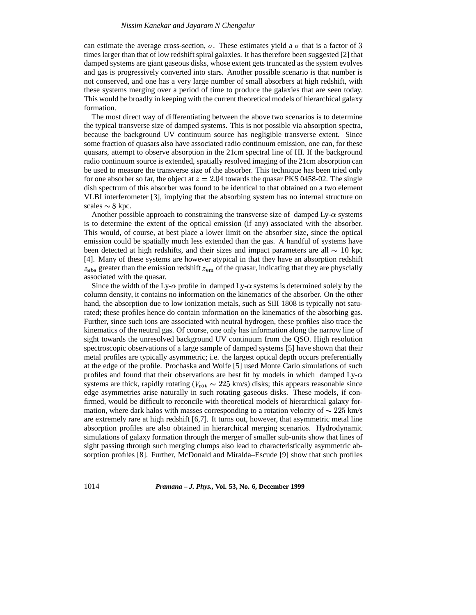## *Nissim Kanekar and Jayaram N Chengalur*

can estimate the average cross-section,  $\sigma$ . These estimates yield a  $\sigma$  that is a factor of 3 times larger than that of low redshift spiral galaxies. It has therefore been suggested [2] that damped systems are giant gaseous disks, whose extent gets truncated as the system evolves and gas is progressively converted into stars. Another possible scenario is that number is not conserved, and one has a very large number of small absorbers at high redshift, with these systems merging over a period of time to produce the galaxies that are seen today. This would be broadly in keeping with the current theoretical models of hierarchical galaxy formation.

The most direct way of differentiating between the above two scenarios is to determine the typical transverse size of damped systems. This is not possible via absorption spectra, because the background UV continuum source has negligible transverse extent. Since some fraction of quasars also have associated radio continuum emission, one can, for these quasars, attempt to observe absorption in the 21cm spectral line of HI. If the background radio continuum source is extended, spatially resolved imaging of the 21cm absorption can be used to measure the transverse size of the absorber. This technique has been tried only for one absorber so far, the object at  $z = 2.04$  towards the quasar PKS 0458-02. The single dish spectrum of this absorber was found to be identical to that obtained on a two element VLBI interferometer [3], implying that the absorbing system has no internal structure on scales  $\sim 8$  kpc.

Another possible approach to constraining the transverse size of damped Ly- $\alpha$  systems is to determine the extent of the optical emission (if any) associated with the absorber. This would, of course, at best place a lower limit on the absorber size, since the optical emission could be spatially much less extended than the gas. A handful of systems have been detected at high redshifts, and their sizes and impact parameters are all  $\sim 10$  kpc [4]. Many of these systems are however atypical in that they have an absorption redshift  $z_{\rm abs}$  greater than the emission redshift  $z_{\rm em}$  of the quasar, indicating that they are physcially associated with the quasar.

Since the width of the Ly- $\alpha$  profile in damped Ly- $\alpha$  systems is determined solely by the column density, it contains no information on the kinematics of the absorber. On the other hand, the absorption due to low ionization metals, such as SiII 1808 is typically not saturated; these profiles hence do contain information on the kinematics of the absorbing gas. Further, since such ions are associated with neutral hydrogen, these profiles also trace the kinematics of the neutral gas. Of course, one only has information along the narrow line of sight towards the unresolved background UV continuum from the QSO. High resolution spectroscopic observations of a large sample of damped systems [5] have shown that their metal profiles are typically asymmetric; i.e. the largest optical depth occurs preferentially at the edge of the profile. Prochaska and Wolfe [5] used Monte Carlo simulations of such profiles and found that their observations are best fit by models in which damped  $Ly-\alpha$ systems are thick, rapidly rotating ( $V_{\text{rot}} \sim 225$  km/s) disks; this appears reasonable since edge asymmetries arise naturally in such rotating gaseous disks. These models, if confirmed, would be difficult to reconcile with theoretical models of hierarchical galaxy formation, where dark halos with masses corresponding to a rotation velocity of  $\sim 225$  km/s are extremely rare at high redshift [6,7]. It turns out, however, that asymmetric metal line absorption profiles are also obtained in hierarchical merging scenarios. Hydrodynamic simulations of galaxy formation through the merger of smaller sub-units show that lines of sight passing through such merging clumps also lead to characteristically asymmetric absorption profiles [8]. Further, McDonald and Miralda–Escude [9] show that such profiles

1014 *Pramana – J. Phys.,* **Vol. 53, No. 6, December 1999**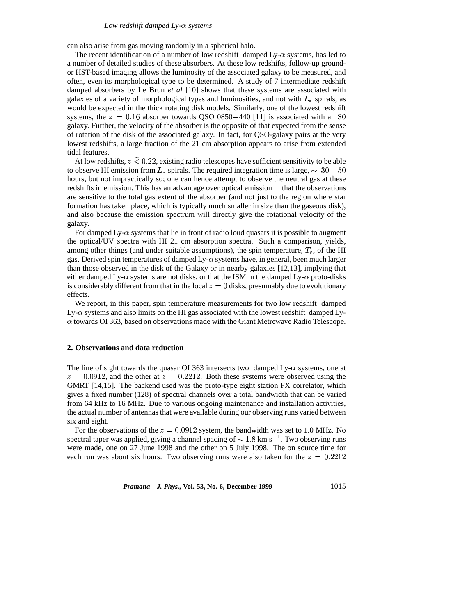can also arise from gas moving randomly in a spherical halo.

The recent identification of a number of low redshift damped  $Ly-\alpha$  systems, has led to a number of detailed studies of these absorbers. At these low redshifts, follow-up groundor HST-based imaging allows the luminosity of the associated galaxy to be measured, and often, even its morphological type to be determined. A study of 7 intermediate redshift damped absorbers by Le Brun *et al* [10] shows that these systems are associated with galaxies of a variety of morphological types and luminosities, and not with  $L_{\ast}$  spirals, as would be expected in the thick rotating disk models. Similarly, one of the lowest redshift systems, the  $z = 0.16$  absorber towards QSO 0850+440 [11] is associated with an S0 galaxy. Further, the velocity of the absorber is the opposite of that expected from the sense of rotation of the disk of the associated galaxy. In fact, for QSO-galaxy pairs at the very lowest redshifts, a large fraction of the 21 cm absorption appears to arise from extended tidal features.

At low redshifts,  $z \leq 0.22$ , existing radio telescopes have sufficient sensitivity to be able to observe HI emission from  $L_*$  spirals. The required integration time is large,  $\sim 30-50$ hours, but not impractically so; one can hence attempt to observe the neutral gas at these redshifts in emission. This has an advantage over optical emission in that the observations are sensitive to the total gas extent of the absorber (and not just to the region where star formation has taken place, which is typically much smaller in size than the gaseous disk), and also because the emission spectrum will directly give the rotational velocity of the galaxy.

For damped  $Ly-\alpha$  systems that lie in front of radio loud quasars it is possible to augment the optical/UV spectra with HI 21 cm absorption spectra. Such a comparison, yields, among other things (and under suitable assumptions), the spin temperature,  $T_s$ , of the HI gas. Derived spin temperatures of damped Ly- $\alpha$  systems have, in general, been much larger than those observed in the disk of the Galaxy or in nearby galaxies [12,13], implying that either damped Ly- $\alpha$  systems are not disks, or that the ISM in the damped Ly- $\alpha$  proto-disks is considerably different from that in the local  $z = 0$  disks, presumably due to evolutionary effects.

We report, in this paper, spin temperature measurements for two low redshift damped Ly- $\alpha$  systems and also limits on the HI gas associated with the lowest redshift damped Ly- $\alpha$  towards OI 363, based on observations made with the Giant Metrewave Radio Telescope.

# **2. Observations and data reduction**

The line of sight towards the quasar OI 363 intersects two damped Ly- $\alpha$  systems, one at  $z = 0.0912$ , and the other at  $z = 0.2212$ . Both these systems were observed using the GMRT [14,15]. The backend used was the proto-type eight station FX correlator, which gives a fixed number (128) of spectral channels over a total bandwidth that can be varied from 64 kHz to 16 MHz. Due to various ongoing maintenance and installation activities, the actual number of antennas that were available during our observing runs varied between six and eight.

For the observations of the  $z = 0.0912$  system, the bandwidth was set to 1.0 MHz. No spectral taper was applied, giving a channel spacing of  $\sim 1.8$  km s<sup>-1</sup>. Two observing runs were made, one on 27 June 1998 and the other on 5 July 1998. The on source time for each run was about six hours. Two observing runs were also taken for the  $z = 0.2212$ 

*Pramana – J. Phys.,* **Vol. 53, No. 6, December 1999** 1015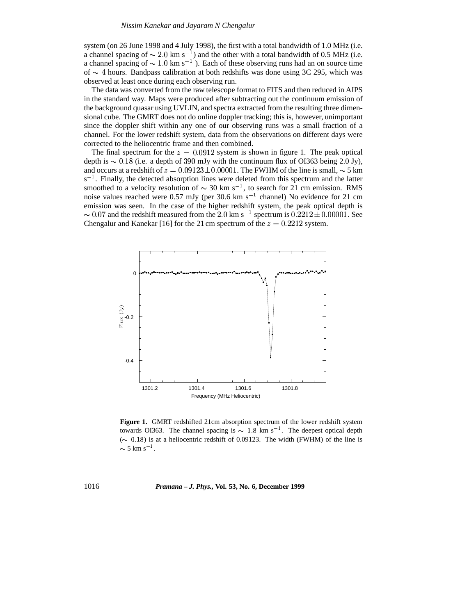system (on 26 June 1998 and 4 July 1998), the first with a total bandwidth of 1.0 MHz (i.e. a channel spacing of  $\sim 2.0 \text{ km s}^{-1}$ ) and the other with a total bandwidth of 0.5 MHz (i.e. a channel spacing of  $\sim 1.0 \text{ km s}^{-1}$ ). Each of these observing runs had an on source time of  $\sim$  4 hours. Bandpass calibration at both redshifts was done using 3C 295, which was observed at least once during each observing run.

The data was converted from the raw telescope format to FITS and then reduced in AIPS in the standard way. Maps were produced after subtracting out the continuum emission of the background quasar using UVLIN, and spectra extracted from the resulting three dimensional cube. The GMRT does not do online doppler tracking; this is, however, unimportant since the doppler shift within any one of our observing runs was a small fraction of a channel. For the lower redshift system, data from the observations on different days were corrected to the heliocentric frame and then combined.

The final spectrum for the  $z = 0.0912$  system is shown in figure 1. The peak optical depth is  $\sim 0.18$  (i.e. a depth of 390 mJy with the continuum flux of OI363 being 2.0 Jy), and occurs at a redshift of  $z = 0.09123 \pm 0.00001$ . The FWHM of the line is small,  $\sim$  5 km  $s^{-1}$ . Finally, the detected absorption lines were deleted from this spectrum and the latter smoothed to a velocity resolution of  $\sim 30$  km s<sup>-1</sup>, to search for 21 cm emission. RMS noise values reached were 0.57 mJy (per 30.6 km s<sup>-1</sup> channel) No evidence for 21 cm emission was seen. In the case of the higher redshift system, the peak optical depth is  $\sim 0.07$  and the redshift measured from the 2.0 km s<sup>-1</sup> spectrum is  $0.2212 \pm 0.00001$ . See Chengalur and Kanekar [16] for the 21 cm spectrum of the  $z = 0.2212$  system.



**Figure 1.** GMRT redshifted 21cm absorption spectrum of the lower redshift system towards OI363. The channel spacing is  $\sim 1.8$  km s<sup>-1</sup>. The deepest optical depth ( $\sim$  0.18) is at a heliocentric redshift of 0.09123. The width (FWHM) of the line is  $\sim$  5 km s<sup>-1</sup>.

1016 *Pramana – J. Phys.,* **Vol. 53, No. 6, December 1999**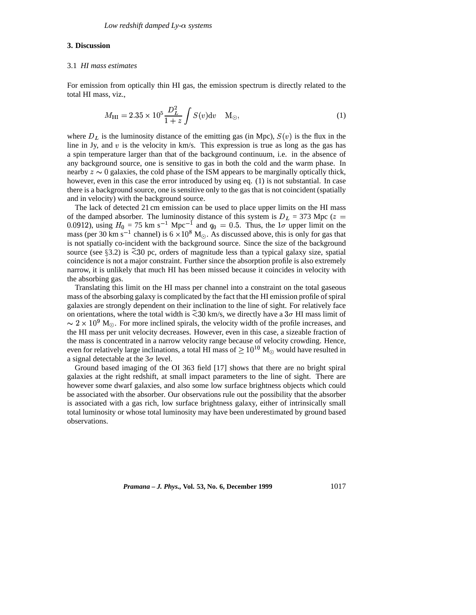# **3. Discussion**

# 3.1 *HI mass estimates*

For emission from optically thin HI gas, the emission spectrum is directly related to the total HI mass, viz.,

$$
M_{\rm HI} = 2.35 \times 10^5 \frac{D_L^2}{1+z} \int S(v) \, dv \quad M_{\odot}, \tag{1}
$$

where  $D<sub>L</sub>$  is the luminosity distance of the emitting gas (in Mpc),  $S(v)$  is the flux in the line in Jy, and v is the velocity in km/s. This expression is true as long as the gas has a spin temperature larger than that of the background continuum, i.e. in the absence of any background source, one is sensitive to gas in both the cold and the warm phase. In nearby  $z \sim 0$  galaxies, the cold phase of the ISM appears to be marginally optically thick, however, even in this case the error introduced by using eq. (1) is not substantial. In case there is a background source, one is sensitive only to the gas that is not coincident (spatially and in velocity) with the background source.

The lack of detected 21 cm emission can be used to place upper limits on the HI mass of the damped absorber. The luminosity distance of this system is  $D<sub>L</sub> = 373$  Mpc ( $z =$ 0.0912), using  $H_0 = 75$  km s<sup>-1</sup> Mpc<sup>-1</sup> and  $q_0 = 0.5$ . Thus, the  $1\sigma$  upper limit on the  $m_{0.0512}$ , using  $H_0 = 75$  km s, where and  $q_0 = 0.9$ . Thus, the 10 upper limit on the mass (per 30 km s<sup>-1</sup> channel) is 6  $\times 10^8$  M<sub>O</sub>. As discussed above, this is only for gas that is not spatially co-incident with the background source. Since the size of the background source (see  $\S 3.2$ ) is  $\tilde{\le} 30$  pc, orders of magnitude less than a typical galaxy size, spatial coincidence is not a major constraint. Further since the absorption profile is also extremely narrow, it is unlikely that much HI has been missed because it coincides in velocity with the absorbing gas.

Translating this limit on the HI mass per channel into a constraint on the total gaseous mass of the absorbing galaxy is complicated by the fact that the HI emission profile of spiral galaxies are strongly dependent on their inclination to the line of sight. For relatively face on orientations, where the total width is  $\tilde{\ll} 30$  km/s, we directly have a  $3\sigma$  HI mass limit of  $\sim 2 \times 10^9$  M<sub>o</sub>. For more inclined spirals, the velocity width of the profile increases, and the HI mass per unit velocity decreases. However, even in this case, a sizeable fraction of the mass is concentrated in a narrow velocity range because of velocity crowding. Hence, even for relatively large inclinations, a total HI mass of  $\geq 10^{10}$  M<sub>o</sub> would have resulted in a signal detectable at the  $3\sigma$  level.

Ground based imaging of the OI 363 field [17] shows that there are no bright spiral galaxies at the right redshift, at small impact parameters to the line of sight. There are however some dwarf galaxies, and also some low surface brightness objects which could be associated with the absorber. Our observations rule out the possibility that the absorber is associated with a gas rich, low surface brightness galaxy, either of intrinsically small total luminosity or whose total luminosity may have been underestimated by ground based observations.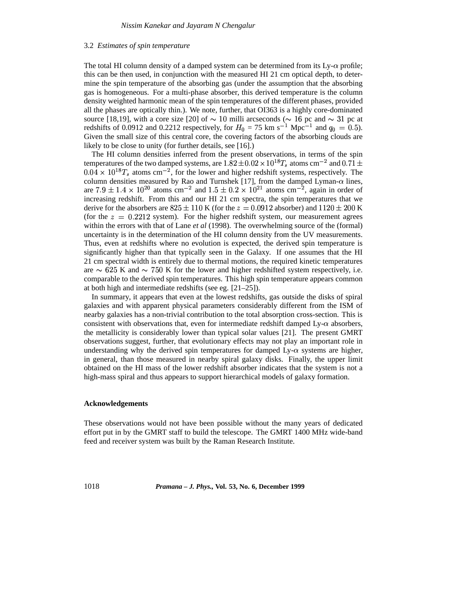#### 3.2 *Estimates of spin temperature*

The total HI column density of a damped system can be determined from its  $Ly-\alpha$  profile; this can be then used, in conjunction with the measured HI 21 cm optical depth, to determine the spin temperature of the absorbing gas (under the assumption that the absorbing gas is homogeneous. For a multi-phase absorber, this derived temperature is the column density weighted harmonic mean of the spin temperatures of the different phases, provided all the phases are optically thin.). We note, further, that OI363 is a highly core-dominated source [18,19], with a core size [20] of  $\sim$  10 milli arcseconds ( $\sim$  16 pc and  $\sim$  31 pc at redshifts of 0.0912 and 0.2212 respectively, for  $H_0 = 75$  km s<sup>-1</sup> Mpc<sup>-1</sup> and  $q_0 = 0.5$ ). Given the small size of this central core, the covering factors of the absorbing clouds are likely to be close to unity (for further details, see [16].)

The HI column densities inferred from the present observations, in terms of the spin temperatures of the two damped systems, are  $1.\overline{82} \pm 0.02 \times 10^{18}T_s$  atoms cm<sup>-2</sup> and  $0.71 \pm$  $(0.04 \times 10^{18} T_s$  atoms cm<sup>-2</sup>, for the lower and higher redshift systems, respectively. The column densities measured by Rao and Turnshek [17], from the damped Lyman- $\alpha$  lines, are  $7.9 \pm 1.4 \times 10^{20}$  atoms cm<sup>-2</sup> and  $1.5 \pm 0.2 \times 10^{21}$  atoms cm<sup>-2</sup>, again in order of increasing redshift. From this and our HI 21 cm spectra, the spin temperatures that we derive for the absorbers are  $825 \pm 110$  K (for the  $z = 0.0912$  absorber) and  $1120 \pm 200$  K (for the  $z = 0.2212$  system). For the higher redshift system, our measurement agrees within the errors with that of Lane *et al* (1998). The overwhelming source of the (formal) uncertainty is in the determination of the HI column density from the UV measurements. Thus, even at redshifts where no evolution is expected, the derived spin temperature is significantly higher than that typically seen in the Galaxy. If one assumes that the HI 21 cm spectral width is entirely due to thermal motions, the required kinetic temperatures are  $\sim$  625 K and  $\sim$  750 K for the lower and higher redshifted system respectively, i.e. comparable to the derived spin temperatures. This high spin temperature appears common at both high and intermediate redshifts (see eg. [21–25]).

In summary, it appears that even at the lowest redshifts, gas outside the disks of spiral galaxies and with apparent physical parameters considerably different from the ISM of nearby galaxies has a non-trivial contribution to the total absorption cross-section. This is consistent with observations that, even for intermediate redshift damped Ly- $\alpha$  absorbers, the metallicity is considerably lower than typical solar values [21]. The present GMRT observations suggest, further, that evolutionary effects may not play an important role in understanding why the derived spin temperatures for damped Ly- $\alpha$  systems are higher, in general, than those measured in nearby spiral galaxy disks. Finally, the upper limit obtained on the HI mass of the lower redshift absorber indicates that the system is not a high-mass spiral and thus appears to support hierarchical models of galaxy formation.

# **Acknowledgements**

These observations would not have been possible without the many years of dedicated effort put in by the GMRT staff to build the telescope. The GMRT 1400 MHz wide-band feed and receiver system was built by the Raman Research Institute.

1018 *Pramana – J. Phys.,* **Vol. 53, No. 6, December 1999**